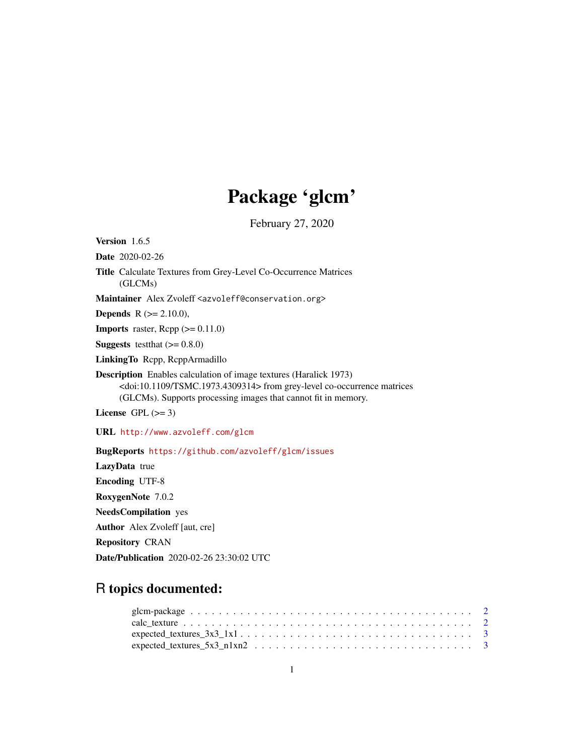## Package 'glcm'

February 27, 2020

Version 1.6.5 Date 2020-02-26 Title Calculate Textures from Grey-Level Co-Occurrence Matrices (GLCMs) Maintainer Alex Zvoleff <azvoleff@conservation.org> **Depends** R  $(>= 2.10.0)$ , **Imports** raster,  $\text{Rcpp} (> = 0.11.0)$ **Suggests** testthat  $(>= 0.8.0)$ LinkingTo Rcpp, RcppArmadillo Description Enables calculation of image textures (Haralick 1973) <doi:10.1109/TSMC.1973.4309314> from grey-level co-occurrence matrices (GLCMs). Supports processing images that cannot fit in memory. License GPL  $(>= 3)$ URL <http://www.azvoleff.com/glcm> BugReports <https://github.com/azvoleff/glcm/issues> LazyData true Encoding UTF-8 RoxygenNote 7.0.2

NeedsCompilation yes Author Alex Zvoleff [aut, cre]

Repository CRAN

Date/Publication 2020-02-26 23:30:02 UTC

### R topics documented: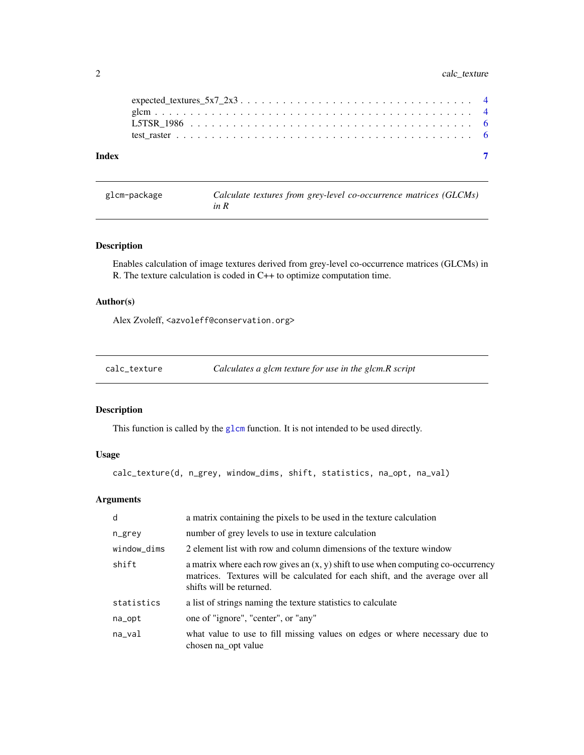<span id="page-1-0"></span>

| Index |  |
|-------|--|

| glcm-package | Calculate textures from grey-level co-occurrence matrices (GLCMs) |  |
|--------------|-------------------------------------------------------------------|--|
|              | in R                                                              |  |

#### Description

Enables calculation of image textures derived from grey-level co-occurrence matrices (GLCMs) in R. The texture calculation is coded in C++ to optimize computation time.

#### Author(s)

Alex Zvoleff, <azvoleff@conservation.org>

| calc_texture | Calculates a glcm texture for use in the glcm.R script |  |
|--------------|--------------------------------------------------------|--|
|              |                                                        |  |

#### Description

This function is called by the [glcm](#page-3-1) function. It is not intended to be used directly.

#### Usage

calc\_texture(d, n\_grey, window\_dims, shift, statistics, na\_opt, na\_val)

#### Arguments

| d           | a matrix containing the pixels to be used in the texture calculation                                                                                                                              |
|-------------|---------------------------------------------------------------------------------------------------------------------------------------------------------------------------------------------------|
| n_grey      | number of grey levels to use in texture calculation                                                                                                                                               |
| window_dims | 2 element list with row and column dimensions of the texture window                                                                                                                               |
| shift       | a matrix where each row gives an $(x, y)$ shift to use when computing co-occurrency<br>matrices. Textures will be calculated for each shift, and the average over all<br>shifts will be returned. |
| statistics  | a list of strings naming the texture statistics to calculate                                                                                                                                      |
| na_opt      | one of "ignore", "center", or "any"                                                                                                                                                               |
| na_val      | what value to use to fill missing values on edges or where necessary due to<br>chosen na opt value                                                                                                |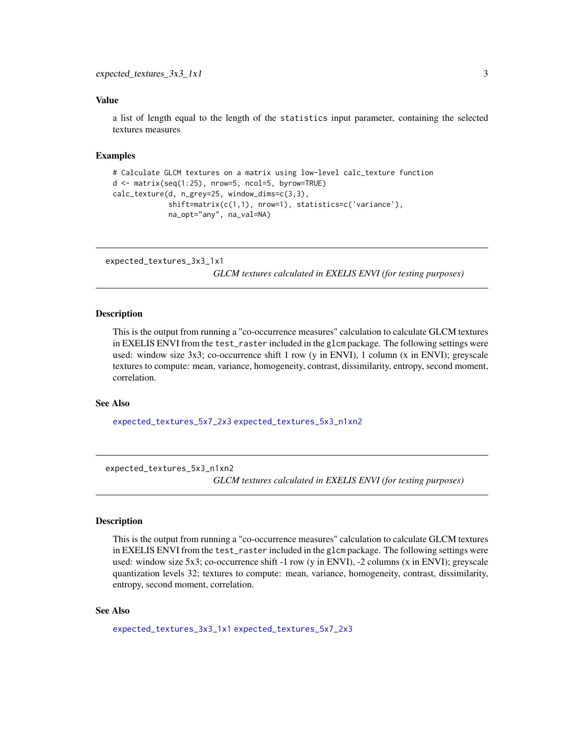#### <span id="page-2-0"></span>Value

a list of length equal to the length of the statistics input parameter, containing the selected textures measures

#### Examples

```
# Calculate GLCM textures on a matrix using low-level calc_texture function
d <- matrix(seq(1:25), nrow=5, ncol=5, byrow=TRUE)
calc_texture(d, n_grey=25, window_dims=c(3,3),
             shift=matrix(c(1,1), nrow=1), statistics=c('variance'),
             na_opt="any", na_val=NA)
```
<span id="page-2-2"></span>expected\_textures\_3x3\_1x1

*GLCM textures calculated in EXELIS ENVI (for testing purposes)*

#### **Description**

This is the output from running a "co-occurrence measures" calculation to calculate GLCM textures in EXELIS ENVI from the test\_raster included in the glcm package. The following settings were used: window size 3x3; co-occurrence shift 1 row (y in ENVI), 1 column (x in ENVI); greyscale textures to compute: mean, variance, homogeneity, contrast, dissimilarity, entropy, second moment, correlation.

#### See Also

[expected\\_textures\\_5x7\\_2x3](#page-3-2) [expected\\_textures\\_5x3\\_n1xn2](#page-2-1)

<span id="page-2-1"></span>expected\_textures\_5x3\_n1xn2

*GLCM textures calculated in EXELIS ENVI (for testing purposes)*

#### **Description**

This is the output from running a "co-occurrence measures" calculation to calculate GLCM textures in EXELIS ENVI from the test\_raster included in the glcm package. The following settings were used: window size 5x3; co-occurrence shift -1 row (y in ENVI), -2 columns (x in ENVI); greyscale quantization levels 32; textures to compute: mean, variance, homogeneity, contrast, dissimilarity, entropy, second moment, correlation.

#### See Also

[expected\\_textures\\_3x3\\_1x1](#page-2-2) [expected\\_textures\\_5x7\\_2x3](#page-3-2)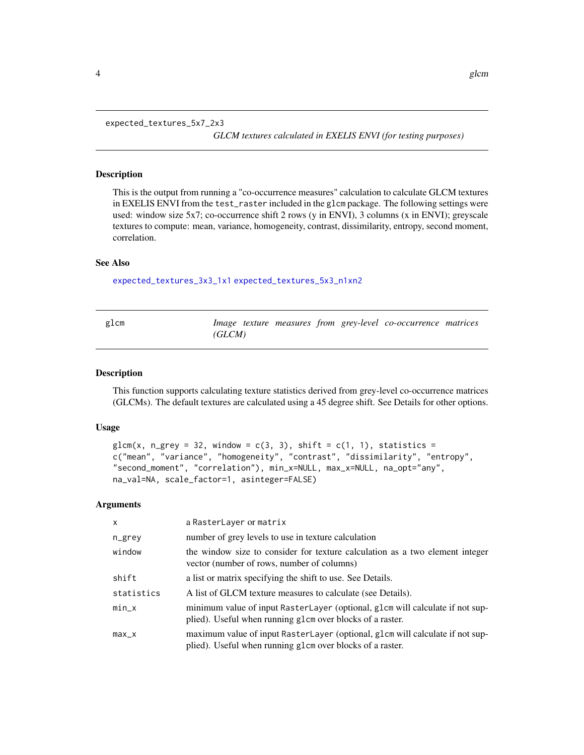<span id="page-3-2"></span><span id="page-3-0"></span>expected\_textures\_5x7\_2x3

*GLCM textures calculated in EXELIS ENVI (for testing purposes)*

#### Description

This is the output from running a "co-occurrence measures" calculation to calculate GLCM textures in EXELIS ENVI from the test\_raster included in the glcm package. The following settings were used: window size 5x7; co-occurrence shift 2 rows (y in ENVI), 3 columns (x in ENVI); greyscale textures to compute: mean, variance, homogeneity, contrast, dissimilarity, entropy, second moment, correlation.

#### See Also

[expected\\_textures\\_3x3\\_1x1](#page-2-2) [expected\\_textures\\_5x3\\_n1xn2](#page-2-1)

<span id="page-3-1"></span>

| glcm |        |  |  | Image texture measures from grey-level co-occurrence matrices |  |
|------|--------|--|--|---------------------------------------------------------------|--|
|      | (GLCM) |  |  |                                                               |  |

#### Description

This function supports calculating texture statistics derived from grey-level co-occurrence matrices (GLCMs). The default textures are calculated using a 45 degree shift. See Details for other options.

#### Usage

```
glcm(x, n\_grey = 32, window = c(3, 3), shift = c(1, 1), statistics =c("mean", "variance", "homogeneity", "contrast", "dissimilarity", "entropy",
"second_moment", "correlation"), min_x=NULL, max_x=NULL, na_opt="any",
na_val=NA, scale_factor=1, asinteger=FALSE)
```
#### Arguments

| x          | a RasterLayer or matrix                                                                                                                    |
|------------|--------------------------------------------------------------------------------------------------------------------------------------------|
| n_grey     | number of grey levels to use in texture calculation                                                                                        |
| window     | the window size to consider for texture calculation as a two element integer<br>vector (number of rows, number of columns)                 |
| shift      | a list or matrix specifying the shift to use. See Details.                                                                                 |
| statistics | A list of GLCM texture measures to calculate (see Details).                                                                                |
| $min_x$    | minimum value of input RasterLayer (optional, glcm will calculate if not sup-<br>plied). Useful when running g1cm over blocks of a raster. |
| $max_x$    | maximum value of input RasterLayer (optional, glcm will calculate if not sup-<br>plied). Useful when running glcm over blocks of a raster. |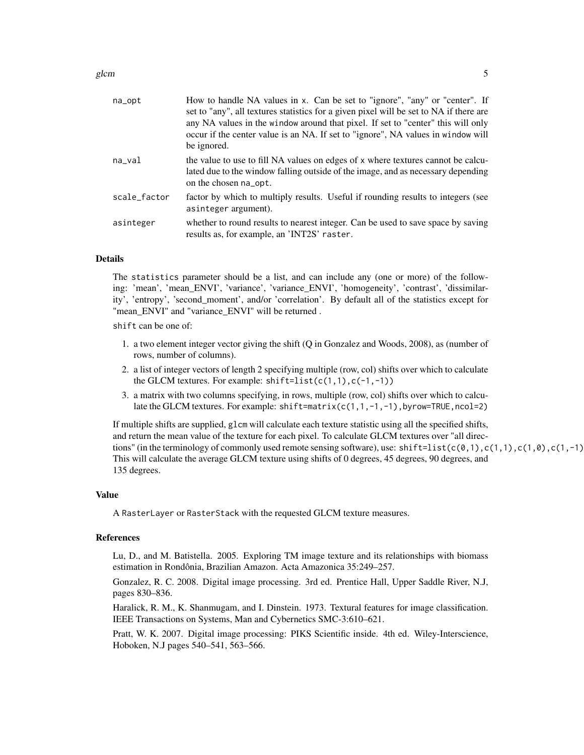glcm  $\sim$  5

| na_opt       | How to handle NA values in x. Can be set to "ignore", "any" or "center". If<br>set to "any", all textures statistics for a given pixel will be set to NA if there are<br>any NA values in the window around that pixel. If set to "center" this will only<br>occur if the center value is an NA. If set to "ignore", NA values in window will<br>be ignored. |
|--------------|--------------------------------------------------------------------------------------------------------------------------------------------------------------------------------------------------------------------------------------------------------------------------------------------------------------------------------------------------------------|
| na_val       | the value to use to fill NA values on edges of x where textures cannot be calcu-<br>lated due to the window falling outside of the image, and as necessary depending<br>on the chosen na opt.                                                                                                                                                                |
| scale_factor | factor by which to multiply results. Useful if rounding results to integers (see<br>asinteger argument).                                                                                                                                                                                                                                                     |
| asinteger    | whether to round results to nearest integer. Can be used to save space by saving<br>results as, for example, an 'INT2S' raster.                                                                                                                                                                                                                              |

#### Details

The statistics parameter should be a list, and can include any (one or more) of the following: 'mean', 'mean\_ENVI', 'variance', 'variance\_ENVI', 'homogeneity', 'contrast', 'dissimilarity', 'entropy', 'second\_moment', and/or 'correlation'. By default all of the statistics except for "mean\_ENVI" and "variance\_ENVI" will be returned .

shift can be one of:

- 1. a two element integer vector giving the shift (Q in Gonzalez and Woods, 2008), as (number of rows, number of columns).
- 2. a list of integer vectors of length 2 specifying multiple (row, col) shifts over which to calculate the GLCM textures. For example:  $shift=list(c(1,1),c(-1,-1))$
- 3. a matrix with two columns specifying, in rows, multiple (row, col) shifts over which to calculate the GLCM textures. For example:  $shift=matrix(c(1,1,-1,-1),byrow=TRUE,ncol=2)$

If multiple shifts are supplied, glcm will calculate each texture statistic using all the specified shifts, and return the mean value of the texture for each pixel. To calculate GLCM textures over "all directions" (in the terminology of commonly used remote sensing software), use:  $shift=list(c(\emptyset,1),c(1,1),c(1,\emptyset),c(1,-1))$ This will calculate the average GLCM texture using shifts of 0 degrees, 45 degrees, 90 degrees, and 135 degrees.

#### Value

A RasterLayer or RasterStack with the requested GLCM texture measures.

#### References

Lu, D., and M. Batistella. 2005. Exploring TM image texture and its relationships with biomass estimation in Rondônia, Brazilian Amazon. Acta Amazonica 35:249–257.

Gonzalez, R. C. 2008. Digital image processing. 3rd ed. Prentice Hall, Upper Saddle River, N.J, pages 830–836.

Haralick, R. M., K. Shanmugam, and I. Dinstein. 1973. Textural features for image classification. IEEE Transactions on Systems, Man and Cybernetics SMC-3:610–621.

Pratt, W. K. 2007. Digital image processing: PIKS Scientific inside. 4th ed. Wiley-Interscience, Hoboken, N.J pages 540–541, 563–566.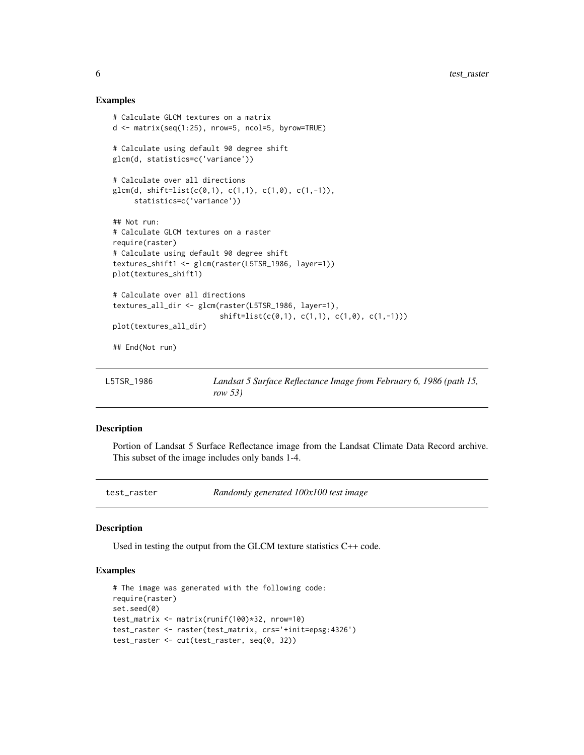#### Examples

```
# Calculate GLCM textures on a matrix
d <- matrix(seq(1:25), nrow=5, ncol=5, byrow=TRUE)
# Calculate using default 90 degree shift
glcm(d, statistics=c('variance'))
# Calculate over all directions
glcm(d, shift=list(c(0,1), c(1,1), c(1,0), c(1,-1)),statistics=c('variance'))
## Not run:
# Calculate GLCM textures on a raster
require(raster)
# Calculate using default 90 degree shift
textures_shift1 <- glcm(raster(L5TSR_1986, layer=1))
plot(textures_shift1)
# Calculate over all directions
textures_all_dir <- glcm(raster(L5TSR_1986, layer=1),
                         shift=list(c(0,1), c(1,1), c(1,0), c(1,-1)))
plot(textures_all_dir)
## End(Not run)
```

| L5TSR 1986 | Landsat 5 Surface Reflectance Image from February 6, 1986 (path 15, |
|------------|---------------------------------------------------------------------|
|            | row 53)                                                             |

#### Description

Portion of Landsat 5 Surface Reflectance image from the Landsat Climate Data Record archive. This subset of the image includes only bands 1-4.

| test_raster | Randomly generated 100x100 test image |  |
|-------------|---------------------------------------|--|
|-------------|---------------------------------------|--|

#### Description

Used in testing the output from the GLCM texture statistics C++ code.

#### Examples

```
# The image was generated with the following code:
require(raster)
set.seed(0)
test_matrix <- matrix(runif(100)*32, nrow=10)
test_raster <- raster(test_matrix, crs='+init=epsg:4326')
test_raster <- cut(test_raster, seq(0, 32))
```
<span id="page-5-0"></span>